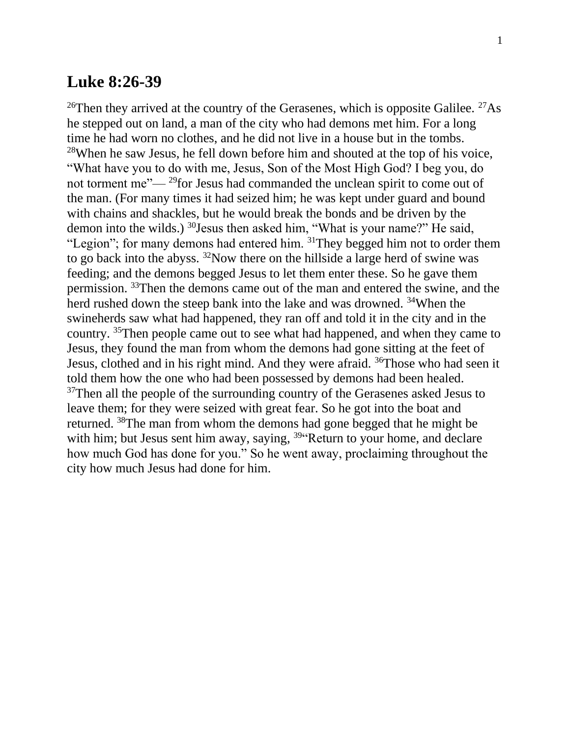## **Luke 8:26-39**

<sup>26</sup>Then they arrived at the country of the Gerasenes, which is opposite Galilee. <sup>27</sup>As he stepped out on land, a man of the city who had demons met him. For a long time he had worn no clothes, and he did not live in a house but in the tombs. <sup>28</sup>When he saw Jesus, he fell down before him and shouted at the top of his voice, "What have you to do with me, Jesus, Son of the Most High God? I beg you, do not torment me"— <sup>29</sup>for Jesus had commanded the unclean spirit to come out of the man. (For many times it had seized him; he was kept under guard and bound with chains and shackles, but he would break the bonds and be driven by the demon into the wilds.) <sup>30</sup>Jesus then asked him, "What is your name?" He said, "Legion"; for many demons had entered him. <sup>31</sup>They begged him not to order them to go back into the abyss. <sup>32</sup>Now there on the hillside a large herd of swine was feeding; and the demons begged Jesus to let them enter these. So he gave them permission. <sup>33</sup>Then the demons came out of the man and entered the swine, and the herd rushed down the steep bank into the lake and was drowned. <sup>34</sup>When the swineherds saw what had happened, they ran off and told it in the city and in the country. <sup>35</sup>Then people came out to see what had happened, and when they came to Jesus, they found the man from whom the demons had gone sitting at the feet of Jesus, clothed and in his right mind. And they were afraid. <sup>36</sup>Those who had seen it told them how the one who had been possessed by demons had been healed. <sup>37</sup>Then all the people of the surrounding country of the Gerasenes asked Jesus to leave them; for they were seized with great fear. So he got into the boat and returned. <sup>38</sup>The man from whom the demons had gone begged that he might be with him; but Jesus sent him away, saying, <sup>39"</sup>Return to your home, and declare how much God has done for you." So he went away, proclaiming throughout the city how much Jesus had done for him.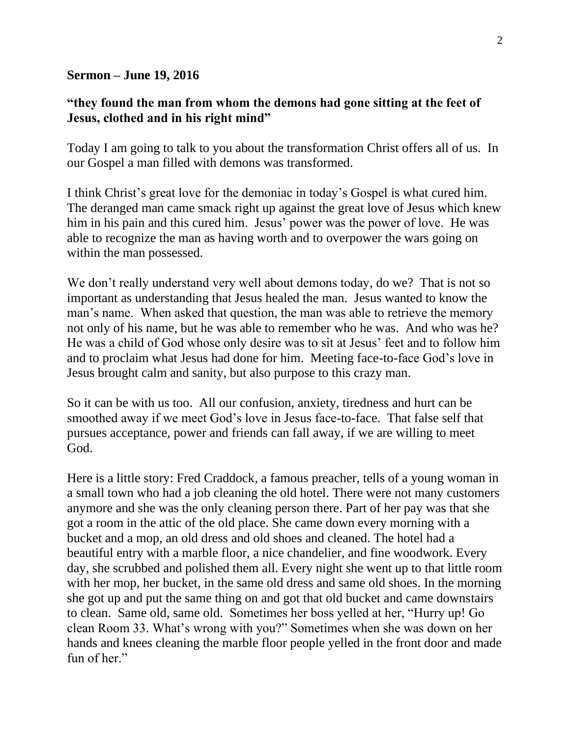## **Sermon – June 19, 2016**

## **"they found the man from whom the demons had gone sitting at the feet of Jesus, clothed and in his right mind"**

Today I am going to talk to you about the transformation Christ offers all of us. In our Gospel a man filled with demons was transformed.

I think Christ's great love for the demoniac in today's Gospel is what cured him. The deranged man came smack right up against the great love of Jesus which knew him in his pain and this cured him. Jesus' power was the power of love. He was able to recognize the man as having worth and to overpower the wars going on within the man possessed.

We don't really understand very well about demons today, do we? That is not so important as understanding that Jesus healed the man. Jesus wanted to know the man's name. When asked that question, the man was able to retrieve the memory not only of his name, but he was able to remember who he was. And who was he? He was a child of God whose only desire was to sit at Jesus' feet and to follow him and to proclaim what Jesus had done for him. Meeting face-to-face God's love in Jesus brought calm and sanity, but also purpose to this crazy man.

So it can be with us too. All our confusion, anxiety, tiredness and hurt can be smoothed away if we meet God's love in Jesus face-to-face. That false self that pursues acceptance, power and friends can fall away, if we are willing to meet God.

Here is a little story: Fred Craddock, a famous preacher, tells of a young woman in a small town who had a job cleaning the old hotel. There were not many customers anymore and she was the only cleaning person there. Part of her pay was that she got a room in the attic of the old place. She came down every morning with a bucket and a mop, an old dress and old shoes and cleaned. The hotel had a beautiful entry with a marble floor, a nice chandelier, and fine woodwork. Every day, she scrubbed and polished them all. Every night she went up to that little room with her mop, her bucket, in the same old dress and same old shoes. In the morning she got up and put the same thing on and got that old bucket and came downstairs to clean. Same old, same old. Sometimes her boss yelled at her, "Hurry up! Go clean Room 33. What's wrong with you?" Sometimes when she was down on her hands and knees cleaning the marble floor people yelled in the front door and made fun of her."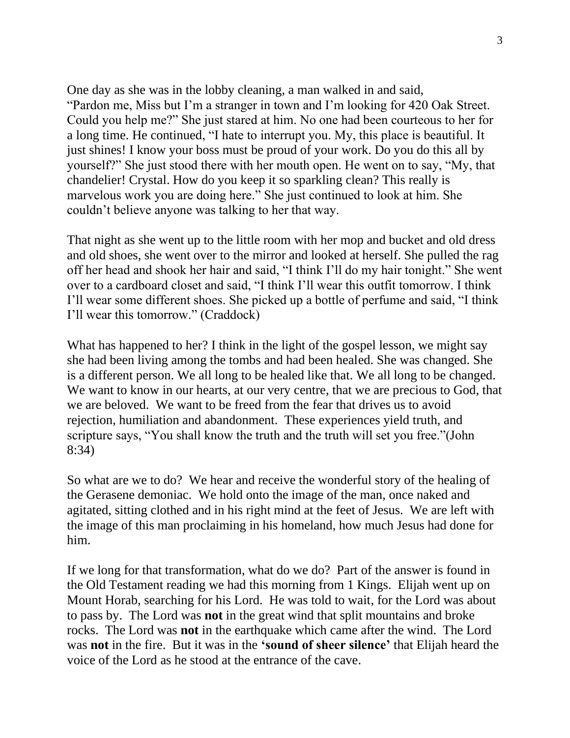One day as she was in the lobby cleaning, a man walked in and said, "Pardon me, Miss but I'm a stranger in town and I'm looking for 420 Oak Street. Could you help me?" She just stared at him. No one had been courteous to her for a long time. He continued, "I hate to interrupt you. My, this place is beautiful. It just shines! I know your boss must be proud of your work. Do you do this all by yourself?" She just stood there with her mouth open. He went on to say, "My, that chandelier! Crystal. How do you keep it so sparkling clean? This really is marvelous work you are doing here." She just continued to look at him. She couldn't believe anyone was talking to her that way.

That night as she went up to the little room with her mop and bucket and old dress and old shoes, she went over to the mirror and looked at herself. She pulled the rag off her head and shook her hair and said, "I think I'll do my hair tonight." She went over to a cardboard closet and said, "I think I'll wear this outfit tomorrow. I think I'll wear some different shoes. She picked up a bottle of perfume and said, "I think I'll wear this tomorrow." (Craddock)

What has happened to her? I think in the light of the gospel lesson, we might say she had been living among the tombs and had been healed. She was changed. She is a different person. We all long to be healed like that. We all long to be changed. We want to know in our hearts, at our very centre, that we are precious to God, that we are beloved. We want to be freed from the fear that drives us to avoid rejection, humiliation and abandonment. These experiences yield truth, and scripture says, "You shall know the truth and the truth will set you free."(John 8:34)

So what are we to do? We hear and receive the wonderful story of the healing of the Gerasene demoniac. We hold onto the image of the man, once naked and agitated, sitting clothed and in his right mind at the feet of Jesus. We are left with the image of this man proclaiming in his homeland, how much Jesus had done for him.

If we long for that transformation, what do we do? Part of the answer is found in the Old Testament reading we had this morning from 1 Kings. Elijah went up on Mount Horab, searching for his Lord. He was told to wait, for the Lord was about to pass by. The Lord was **not** in the great wind that split mountains and broke rocks. The Lord was **not** in the earthquake which came after the wind. The Lord was **not** in the fire. But it was in the **'sound of sheer silence'** that Elijah heard the voice of the Lord as he stood at the entrance of the cave.